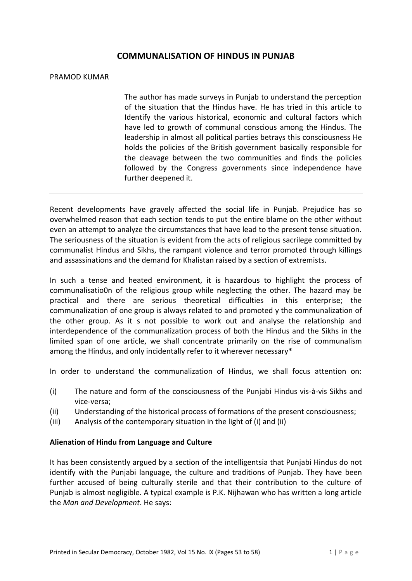# **COMMUNALISATION OF HINDUS IN PUNJAB**

#### PRAMOD KUMAR

The author has made surveys in Punjab to understand the perception of the situation that the Hindus have. He has tried in this article to Identify the various historical, economic and cultural factors which have led to growth of communal conscious among the Hindus. The leadership in almost all political parties betrays this consciousness He holds the policies of the British government basically responsible for the cleavage between the two communities and finds the policies followed by the Congress governments since independence have further deepened it.

Recent developments have gravely affected the social life in Punjab. Prejudice has so overwhelmed reason that each section tends to put the entire blame on the other without even an attempt to analyze the circumstances that have lead to the present tense situation. The seriousness of the situation is evident from the acts of religious sacrilege committed by communalist Hindus and Sikhs, the rampant violence and terror promoted through killings and assassinations and the demand for Khalistan raised by a section of extremists.

In such a tense and heated environment, it is hazardous to highlight the process of communalisatio0n of the religious group while neglecting the other. The hazard may be practical and there are serious theoretical difficulties in this enterprise; the communalization of one group is always related to and promoted y the communalization of the other group. As it s not possible to work out and analyse the relationship and interdependence of the communalization process of both the Hindus and the Sikhs in the limited span of one article, we shall concentrate primarily on the rise of communalism among the Hindus, and only incidentally refer to it wherever necessary\*

In order to understand the communalization of Hindus, we shall focus attention on:

- (i) The nature and form of the consciousness of the Punjabi Hindus vis-à-vis Sikhs and vice-versa;
- (ii) Understanding of the historical process of formations of the present consciousness;
- (iii) Analysis of the contemporary situation in the light of (i) and (ii)

### **Alienation of Hindu from Language and Culture**

It has been consistently argued by a section of the intelligentsia that Punjabi Hindus do not identify with the Punjabi language, the culture and traditions of Punjab. They have been further accused of being culturally sterile and that their contribution to the culture of Punjab is almost negligible. A typical example is P.K. Nijhawan who has written a long article the *Man and Development*. He says: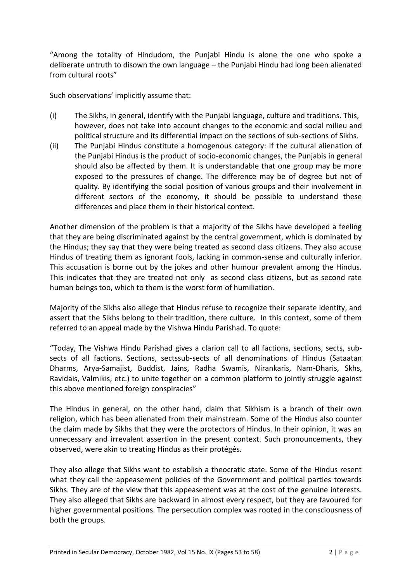"Among the totality of Hindudom, the Punjabi Hindu is alone the one who spoke a deliberate untruth to disown the own language – the Punjabi Hindu had long been alienated from cultural roots"

Such observations' implicitly assume that:

- (i) The Sikhs, in general, identify with the Punjabi language, culture and traditions. This, however, does not take into account changes to the economic and social milieu and political structure and its differential impact on the sections of sub-sections of Sikhs.
- (ii) The Punjabi Hindus constitute a homogenous category: If the cultural alienation of the Punjabi Hindus is the product of socio-economic changes, the Punjabis in general should also be affected by them. It is understandable that one group may be more exposed to the pressures of change. The difference may be of degree but not of quality. By identifying the social position of various groups and their involvement in different sectors of the economy, it should be possible to understand these differences and place them in their historical context.

Another dimension of the problem is that a majority of the Sikhs have developed a feeling that they are being discriminated against by the central government, which is dominated by the Hindus; they say that they were being treated as second class citizens. They also accuse Hindus of treating them as ignorant fools, lacking in common-sense and culturally inferior. This accusation is borne out by the jokes and other humour prevalent among the Hindus. This indicates that they are treated not only as second class citizens, but as second rate human beings too, which to them is the worst form of humiliation.

Majority of the Sikhs also allege that Hindus refuse to recognize their separate identity, and assert that the Sikhs belong to their tradition, there culture. In this context, some of them referred to an appeal made by the Vishwa Hindu Parishad. To quote:

"Today, The Vishwa Hindu Parishad gives a clarion call to all factions, sections, sects, subsects of all factions. Sections, sectssub-sects of all denominations of Hindus (Sataatan Dharms, Arya-Samajist, Buddist, Jains, Radha Swamis, Nirankaris, Nam-Dharis, Skhs, Ravidais, Valmikis, etc.) to unite together on a common platform to jointly struggle against this above mentioned foreign conspiracies"

The Hindus in general, on the other hand, claim that Sikhism is a branch of their own religion, which has been alienated from their mainstream. Some of the Hindus also counter the claim made by Sikhs that they were the protectors of Hindus. In their opinion, it was an unnecessary and irrevalent assertion in the present context. Such pronouncements, they observed, were akin to treating Hindus as their protégés.

They also allege that Sikhs want to establish a theocratic state. Some of the Hindus resent what they call the appeasement policies of the Government and political parties towards Sikhs. They are of the view that this appeasement was at the cost of the genuine interests. They also alleged that Sikhs are backward in almost every respect, but they are favoured for higher governmental positions. The persecution complex was rooted in the consciousness of both the groups.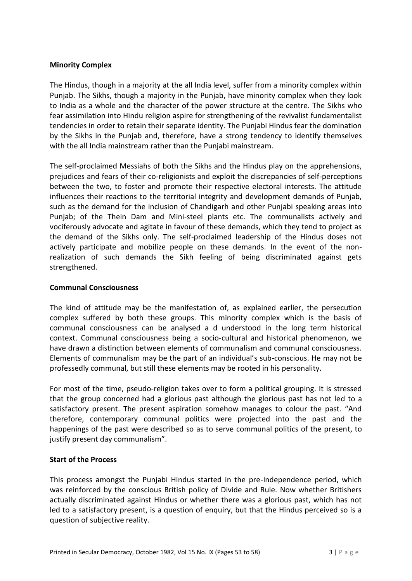## **Minority Complex**

The Hindus, though in a majority at the all India level, suffer from a minority complex within Punjab. The Sikhs, though a majority in the Punjab, have minority complex when they look to India as a whole and the character of the power structure at the centre. The Sikhs who fear assimilation into Hindu religion aspire for strengthening of the revivalist fundamentalist tendencies in order to retain their separate identity. The Punjabi Hindus fear the domination by the Sikhs in the Punjab and, therefore, have a strong tendency to identify themselves with the all India mainstream rather than the Punjabi mainstream.

The self-proclaimed Messiahs of both the Sikhs and the Hindus play on the apprehensions, prejudices and fears of their co-religionists and exploit the discrepancies of self-perceptions between the two, to foster and promote their respective electoral interests. The attitude influences their reactions to the territorial integrity and development demands of Punjab, such as the demand for the inclusion of Chandigarh and other Punjabi speaking areas into Punjab; of the Thein Dam and Mini-steel plants etc. The communalists actively and vociferously advocate and agitate in favour of these demands, which they tend to project as the demand of the Sikhs only. The self-proclaimed leadership of the Hindus doses not actively participate and mobilize people on these demands. In the event of the nonrealization of such demands the Sikh feeling of being discriminated against gets strengthened.

### **Communal Consciousness**

The kind of attitude may be the manifestation of, as explained earlier, the persecution complex suffered by both these groups. This minority complex which is the basis of communal consciousness can be analysed a d understood in the long term historical context. Communal consciousness being a socio-cultural and historical phenomenon, we have drawn a distinction between elements of communalism and communal consciousness. Elements of communalism may be the part of an individual's sub-conscious. He may not be professedly communal, but still these elements may be rooted in his personality.

For most of the time, pseudo-religion takes over to form a political grouping. It is stressed that the group concerned had a glorious past although the glorious past has not led to a satisfactory present. The present aspiration somehow manages to colour the past. "And therefore, contemporary communal politics were projected into the past and the happenings of the past were described so as to serve communal politics of the present, to justify present day communalism".

### **Start of the Process**

This process amongst the Punjabi Hindus started in the pre-Independence period, which was reinforced by the conscious British policy of Divide and Rule. Now whether Britishers actually discriminated against Hindus or whether there was a glorious past, which has not led to a satisfactory present, is a question of enquiry, but that the Hindus perceived so is a question of subjective reality.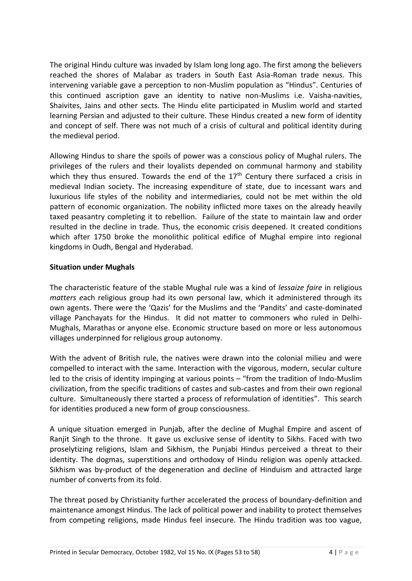The original Hindu culture was invaded by Islam long long ago. The first among the believers reached the shores of Malabar as traders in South East Asia-Roman trade nexus. This intervening variable gave a perception to non-Muslim population as "Hindus". Centuries of this continued ascription gave an identity to native non-Muslims i.e. Vaisha-navities, Shaivites, Jains and other sects. The Hindu elite participated in Muslim world and started learning Persian and adjusted to their culture. These Hindus created a new form of identity and concept of self. There was not much of a crisis of cultural and political identity during the medieval period.

Allowing Hindus to share the spoils of power was a conscious policy of Mughal rulers. The privileges of the rulers and their loyalists depended on communal harmony and stability which they thus ensured. Towards the end of the  $17<sup>th</sup>$  Century there surfaced a crisis in medieval Indian society. The increasing expenditure of state, due to incessant wars and luxurious life styles of the nobility and intermediaries, could not be met within the old pattern of economic organization. The nobility inflicted more taxes on the already heavily taxed peasantry completing it to rebellion. Failure of the state to maintain law and order resulted in the decline in trade. Thus, the economic crisis deepened. It created conditions which after 1750 broke the monolithic political edifice of Mughal empire into regional kingdoms in Oudh, Bengal and Hyderabad.

# **Situation under Mughals**

The characteristic feature of the stable Mughal rule was a kind of *lessaize faire* in religious *matters e*ach religious group had its own personal law, which it administered through its own agents. There were the 'Qazis' for the Muslims and the 'Pandits' and caste-dominated village Panchayats for the Hindus. It did not matter to commoners who ruled in Delhi-Mughals, Marathas or anyone else. Economic structure based on more or less autonomous villages underpinned for religious group autonomy.

With the advent of British rule, the natives were drawn into the colonial milieu and were compelled to interact with the same. Interaction with the vigorous, modern, secular culture led to the crisis of identity impinging at various points – "from the tradition of Indo-Muslim civilization, from the specific traditions of castes and sub-castes and from their own regional culture. Simultaneously there started a process of reformulation of identities". This search for identities produced a new form of group consciousness.

A unique situation emerged in Punjab, after the decline of Mughal Empire and ascent of Ranjit Singh to the throne. It gave us exclusive sense of identity to Sikhs. Faced with two proselytizing religions, Islam and Sikhism, the Punjabi Hindus perceived a threat to their identity. The dogmas, superstitions and orthodoxy of Hindu religion was openly attacked. Sikhism was by-product of the degeneration and decline of Hinduism and attracted large number of converts from its fold.

The threat posed by Christianity further accelerated the process of boundary-definition and maintenance amongst Hindus. The lack of political power and inability to protect themselves from competing religions, made Hindus feel insecure. The Hindu tradition was too vague,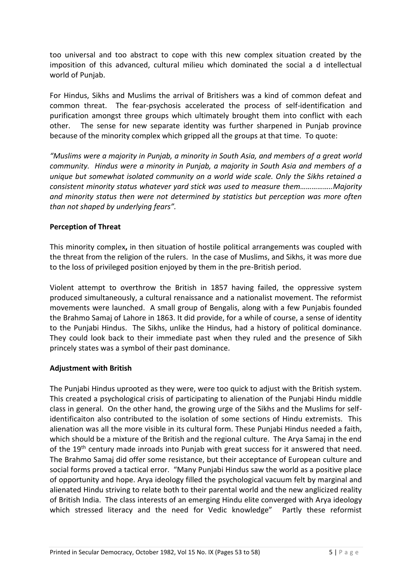too universal and too abstract to cope with this new complex situation created by the imposition of this advanced, cultural milieu which dominated the social a d intellectual world of Punjab.

For Hindus, Sikhs and Muslims the arrival of Britishers was a kind of common defeat and common threat. The fear-psychosis accelerated the process of self-identification and purification amongst three groups which ultimately brought them into conflict with each other. The sense for new separate identity was further sharpened in Punjab province because of the minority complex which gripped all the groups at that time. To quote:

"Muslims were a majority in Punjab, a minority in South Asia, and members of a great world *community. Hindus were a minority in Punjab, a majority in South Asia and members of a unique but somewhat isolated community on a world wide scale. Only the Sikhs retained a consistent minority status whatever yard stick was used to measure them……………..Majority and minority status then were not determined by statistics but perception was more often than not shaped by underlying fears".*

## **Perception of Threat**

This minority complex**,** in then situation of hostile political arrangements was coupled with the threat from the religion of the rulers. In the case of Muslims, and Sikhs, it was more due to the loss of privileged position enjoyed by them in the pre-British period.

Violent attempt to overthrow the British in 1857 having failed, the oppressive system produced simultaneously, a cultural renaissance and a nationalist movement. The reformist movements were launched. A small group of Bengalis, along with a few Punjabis founded the Brahmo Samaj of Lahore in 1863. It did provide, for a while of course, a sense of identity to the Punjabi Hindus. The Sikhs, unlike the Hindus, had a history of political dominance. They could look back to their immediate past when they ruled and the presence of Sikh princely states was a symbol of their past dominance.

### **Adjustment with British**

The Punjabi Hindus uprooted as they were, were too quick to adjust with the British system. This created a psychological crisis of participating to alienation of the Punjabi Hindu middle class in general. On the other hand, the growing urge of the Sikhs and the Muslims for selfidentificaiton also contributed to the isolation of some sections of Hindu extremists. This alienation was all the more visible in its cultural form. These Punjabi Hindus needed a faith, which should be a mixture of the British and the regional culture. The Arya Samaj in the end of the 19<sup>th</sup> century made inroads into Punjab with great success for it answered that need. The Brahmo Samaj did offer some resistance, but their acceptance of European culture and social forms proved a tactical error. "Many Punjabi Hindus saw the world as a positive place of opportunity and hope. Arya ideology filled the psychological vacuum felt by marginal and alienated Hindu striving to relate both to their parental world and the new anglicized reality of British India. The class interests of an emerging Hindu elite converged with Arya ideology which stressed literacy and the need for Vedic knowledge" Partly these reformist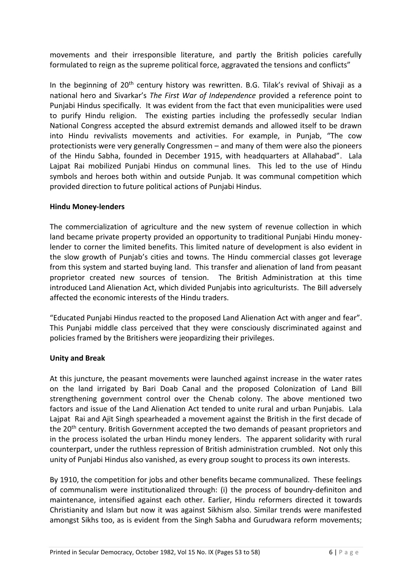movements and their irresponsible literature, and partly the British policies carefully formulated to reign as the supreme political force, aggravated the tensions and conflicts"

In the beginning of  $20<sup>th</sup>$  century history was rewritten. B.G. Tilak's revival of Shivaji as a national hero and Sivarkar's *The First War of Independence* provided a reference point to Punjabi Hindus specifically. It was evident from the fact that even municipalities were used to purify Hindu religion. The existing parties including the professedly secular Indian National Congress accepted the absurd extremist demands and allowed itself to be drawn into Hindu revivalists movements and activities. For example, in Punjab, "The cow protectionists were very generally Congressmen – and many of them were also the pioneers of the Hindu Sabha, founded in December 1915, with headquarters at Allahabad". Lala Lajpat Rai mobilized Punjabi Hindus on communal lines. This led to the use of Hindu symbols and heroes both within and outside Punjab. It was communal competition which provided direction to future political actions of Punjabi Hindus.

## **Hindu Money-lenders**

The commercialization of agriculture and the new system of revenue collection in which land became private property provided an opportunity to traditional Punjabi Hindu moneylender to corner the limited benefits. This limited nature of development is also evident in the slow growth of Punjab's cities and towns. The Hindu commercial classes got leverage from this system and started buying land. This transfer and alienation of land from peasant proprietor created new sources of tension. The British Administration at this time introduced Land Alienation Act, which divided Punjabis into agriculturists. The Bill adversely affected the economic interests of the Hindu traders.

"Educated Punjabi Hindus reacted to the proposed Land Alienation Act with anger and fear". This Punjabi middle class perceived that they were consciously discriminated against and policies framed by the Britishers were jeopardizing their privileges.

# **Unity and Break**

At this juncture, the peasant movements were launched against increase in the water rates on the land irrigated by Bari Doab Canal and the proposed Colonization of Land Bill strengthening government control over the Chenab colony. The above mentioned two factors and issue of the Land Alienation Act tended to unite rural and urban Punjabis. Lala Lajpat Rai and Ajit Singh spearheaded a movement against the British in the first decade of the 20<sup>th</sup> century. British Government accepted the two demands of peasant proprietors and in the process isolated the urban Hindu money lenders. The apparent solidarity with rural counterpart, under the ruthless repression of British administration crumbled. Not only this unity of Punjabi Hindus also vanished, as every group sought to process its own interests.

By 1910, the competition for jobs and other benefits became communalized. These feelings of communalism were institutionalized through: (i) the process of boundry-definiton and maintenance, intensified against each other. Earlier, Hindu reformers directed it towards Christianity and Islam but now it was against Sikhism also. Similar trends were manifested amongst Sikhs too, as is evident from the Singh Sabha and Gurudwara reform movements;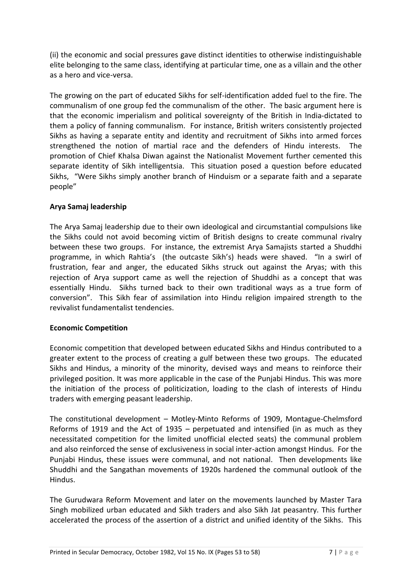(ii) the economic and social pressures gave distinct identities to otherwise indistinguishable elite belonging to the same class, identifying at particular time, one as a villain and the other as a hero and vice-versa.

The growing on the part of educated Sikhs for self-identification added fuel to the fire. The communalism of one group fed the communalism of the other. The basic argument here is that the economic imperialism and political sovereignty of the British in India-dictated to them a policy of fanning communalism. For instance, British writers consistently projected Sikhs as having a separate entity and identity and recruitment of Sikhs into armed forces strengthened the notion of martial race and the defenders of Hindu interests. The promotion of Chief Khalsa Diwan against the Nationalist Movement further cemented this separate identity of Sikh intelligentsia. This situation posed a question before educated Sikhs, "Were Sikhs simply another branch of Hinduism or a separate faith and a separate people"

# **Arya Samaj leadership**

The Arya Samaj leadership due to their own ideological and circumstantial compulsions like the Sikhs could not avoid becoming victim of British designs to create communal rivalry between these two groups. For instance, the extremist Arya Samajists started a Shuddhi programme, in which Rahtia's (the outcaste Sikh's) heads were shaved. "In a swirl of frustration, fear and anger, the educated Sikhs struck out against the Aryas; with this rejection of Arya support came as well the rejection of Shuddhi as a concept that was essentially Hindu. Sikhs turned back to their own traditional ways as a true form of conversion". This Sikh fear of assimilation into Hindu religion impaired strength to the revivalist fundamentalist tendencies.

# **Economic Competition**

Economic competition that developed between educated Sikhs and Hindus contributed to a greater extent to the process of creating a gulf between these two groups. The educated Sikhs and Hindus, a minority of the minority, devised ways and means to reinforce their privileged position. It was more applicable in the case of the Punjabi Hindus. This was more the initiation of the process of politicization, loading to the clash of interests of Hindu traders with emerging peasant leadership.

The constitutional development – Motley-Minto Reforms of 1909, Montague-Chelmsford Reforms of 1919 and the Act of 1935 – perpetuated and intensified (in as much as they necessitated competition for the limited unofficial elected seats) the communal problem and also reinforced the sense of exclusiveness in social inter-action amongst Hindus. For the Punjabi Hindus, these issues were communal, and not national. Then developments like Shuddhi and the Sangathan movements of 1920s hardened the communal outlook of the Hindus.

The Gurudwara Reform Movement and later on the movements launched by Master Tara Singh mobilized urban educated and Sikh traders and also Sikh Jat peasantry. This further accelerated the process of the assertion of a district and unified identity of the Sikhs. This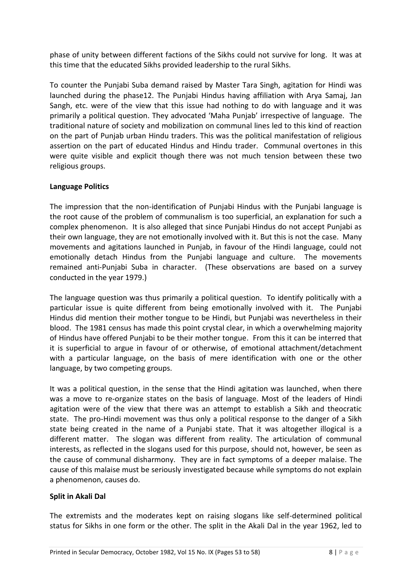phase of unity between different factions of the Sikhs could not survive for long. It was at this time that the educated Sikhs provided leadership to the rural Sikhs.

To counter the Punjabi Suba demand raised by Master Tara Singh, agitation for Hindi was launched during the phase12. The Punjabi Hindus having affiliation with Arya Samaj, Jan Sangh, etc. were of the view that this issue had nothing to do with language and it was primarily a political question. They advocated 'Maha Punjab' irrespective of language. The traditional nature of society and mobilization on communal lines led to this kind of reaction on the part of Punjab urban Hindu traders. This was the political manifestation of religious assertion on the part of educated Hindus and Hindu trader. Communal overtones in this were quite visible and explicit though there was not much tension between these two religious groups.

## **Language Politics**

The impression that the non-identification of Punjabi Hindus with the Punjabi language is the root cause of the problem of communalism is too superficial, an explanation for such a complex phenomenon. It is also alleged that since Punjabi Hindus do not accept Punjabi as their own language, they are not emotionally involved with it. But this is not the case. Many movements and agitations launched in Punjab, in favour of the Hindi language, could not emotionally detach Hindus from the Punjabi language and culture. The movements remained anti-Punjabi Suba in character. (These observations are based on a survey conducted in the year 1979.)

The language question was thus primarily a political question. To identify politically with a particular issue is quite different from being emotionally involved with it. The Punjabi Hindus did mention their mother tongue to be Hindi, but Punjabi was nevertheless in their blood. The 1981 census has made this point crystal clear, in which a overwhelming majority of Hindus have offered Punjabi to be their mother tongue. From this it can be interred that it is superficial to argue in favour of or otherwise, of emotional attachment/detachment with a particular language, on the basis of mere identification with one or the other language, by two competing groups.

It was a political question, in the sense that the Hindi agitation was launched, when there was a move to re-organize states on the basis of language. Most of the leaders of Hindi agitation were of the view that there was an attempt to establish a Sikh and theocratic state. The pro-Hindi movement was thus only a political response to the danger of a Sikh state being created in the name of a Punjabi state. That it was altogether illogical is a different matter. The slogan was different from reality. The articulation of communal interests, as reflected in the slogans used for this purpose, should not, however, be seen as the cause of communal disharmony. They are in fact symptoms of a deeper malaise. The cause of this malaise must be seriously investigated because while symptoms do not explain a phenomenon, causes do.

### **Split in Akali Dal**

The extremists and the moderates kept on raising slogans like self-determined political status for Sikhs in one form or the other. The split in the Akali Dal in the year 1962, led to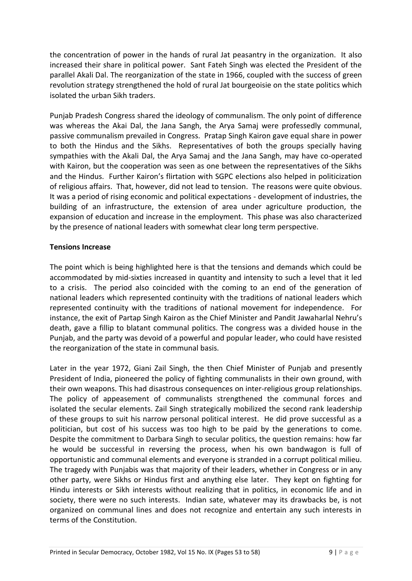the concentration of power in the hands of rural Jat peasantry in the organization. It also increased their share in political power. Sant Fateh Singh was elected the President of the parallel Akali Dal. The reorganization of the state in 1966, coupled with the success of green revolution strategy strengthened the hold of rural Jat bourgeoisie on the state politics which isolated the urban Sikh traders.

Punjab Pradesh Congress shared the ideology of communalism. The only point of difference was whereas the Akai Dal, the Jana Sangh, the Arya Samaj were professedly communal, passive communalism prevailed in Congress. Pratap Singh Kairon gave equal share in power to both the Hindus and the Sikhs. Representatives of both the groups specially having sympathies with the Akali Dal, the Arya Samaj and the Jana Sangh, may have co-operated with Kairon, but the cooperation was seen as one between the representatives of the Sikhs and the Hindus. Further Kairon's flirtation with SGPC elections also helped in politicization of religious affairs. That, however, did not lead to tension. The reasons were quite obvious. It was a period of rising economic and political expectations - development of industries, the building of an infrastructure, the extension of area under agriculture production, the expansion of education and increase in the employment. This phase was also characterized by the presence of national leaders with somewhat clear long term perspective.

## **Tensions Increase**

The point which is being highlighted here is that the tensions and demands which could be accommodated by mid-sixties increased in quantity and intensity to such a level that it led to a crisis. The period also coincided with the coming to an end of the generation of national leaders which represented continuity with the traditions of national leaders which represented continuity with the traditions of national movement for independence. For instance, the exit of Partap Singh Kairon as the Chief Minister and Pandit Jawaharlal Nehru's death, gave a fillip to blatant communal politics. The congress was a divided house in the Punjab, and the party was devoid of a powerful and popular leader, who could have resisted the reorganization of the state in communal basis.

Later in the year 1972, Giani Zail Singh, the then Chief Minister of Punjab and presently President of India, pioneered the policy of fighting communalists in their own ground, with their own weapons. This had disastrous consequences on inter-religious group relationships. The policy of appeasement of communalists strengthened the communal forces and isolated the secular elements. Zail Singh strategically mobilized the second rank leadership of these groups to suit his narrow personal political interest. He did prove successful as a politician, but cost of his success was too high to be paid by the generations to come. Despite the commitment to Darbara Singh to secular politics, the question remains: how far he would be successful in reversing the process, when his own bandwagon is full of opportunistic and communal elements and everyone is stranded in a corrupt political milieu. The tragedy with Punjabis was that majority of their leaders, whether in Congress or in any other party, were Sikhs or Hindus first and anything else later. They kept on fighting for Hindu interests or Sikh interests without realizing that in politics, in economic life and in society, there were no such interests. Indian sate, whatever may its drawbacks be, is not organized on communal lines and does not recognize and entertain any such interests in terms of the Constitution.